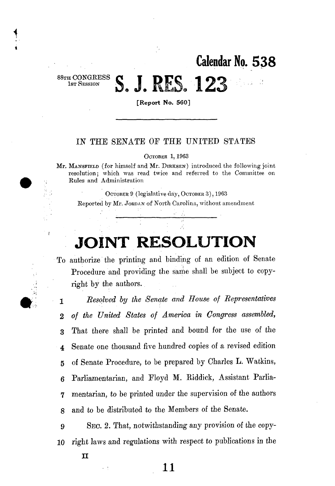**Calendar No. 53 8** 

88TH **CONGRESS**  1st Session

 $\mathbf{I}$ 

**[Report No. 560]** 

S. J. RES. 123

## IN THE SENATE OF THE UNITED STATES

OCTOBER 1,1963

Mr. MANSFIELD (for himself and Mr. DIRKSEN) introduced the following joint resolution; which was read twice and referred to the Committee on Rules and Administration

OCTOBER 9 (legislative day, OCTOBER 3), 1963

Reported by Mr. JORDAN of North Carolina, without amendment

## **JOINT RESOLUTION**

To authorize the printing and binding of an edition of Senate Procedure and providing the same shall be subject to copyright by the authors.

1 *Resolved by the Senate and House of Representatives 2 of the United States of America in Congress assembled,*  3 That there shall be printed and bound for the use of the *4* Senate one thousand five hundred copies of a revised edition 5 of Senate Procedure, to be prepared by Charles L. Watkins, 6 Parliamentarian, and Eloyd M. Biddick, Assistant Parlia-7 mentarian, to be printed under the supervision of the authors 8 and to be distributed to the Members of the Senate.

9 SEC. 2. That, notwithstanding any provision of the copy-10 right laws and regulations with respect to publications in the